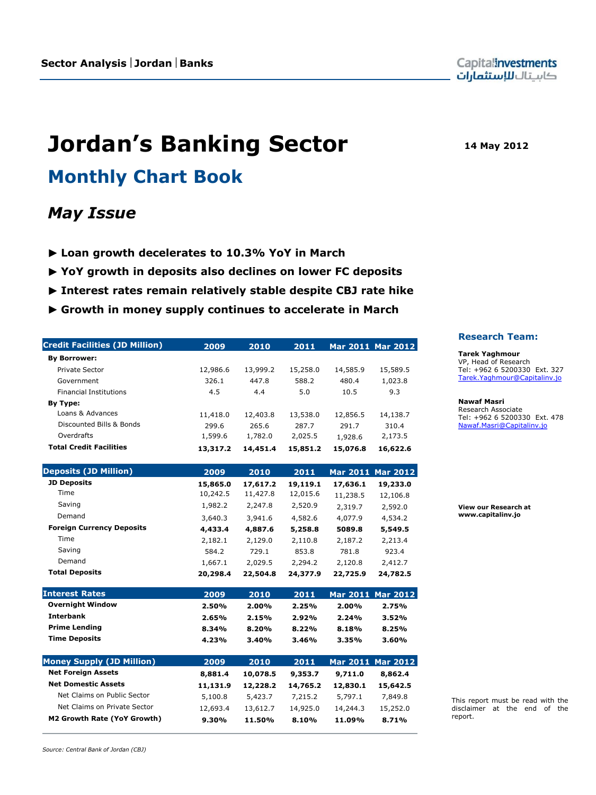**Jordan's Banking Sector 14 May 2012**

# **Monthly Chart Book**

# *May Issue*

- ► **Loan growth decelerates to 10.3% YoY in March**
- ► **YoY growth in deposits also declines on lower FC deposits**
- ► **Interest rates remain relatively stable despite CBJ rate hike**
- ► **Growth in money supply continues to accelerate in March**

| <b>Credit Facilities (JD Million)</b> | 2009     | 2010     | 2011     |          | Mar 2011 Mar 2012 |
|---------------------------------------|----------|----------|----------|----------|-------------------|
| <b>By Borrower:</b>                   |          |          |          |          |                   |
| Private Sector                        | 12,986.6 | 13,999.2 | 15,258.0 | 14,585.9 | 15,589.5          |
| Government                            | 326.1    | 447.8    | 588.2    | 480.4    | 1,023.8           |
| <b>Financial Institutions</b>         | 4.5      | 4.4      | 5.0      | 10.5     | 9.3               |
| By Type:                              |          |          |          |          |                   |
| Loans & Advances                      | 11,418.0 | 12,403.8 | 13,538.0 | 12,856.5 | 14,138.7          |
| Discounted Bills & Bonds              | 299.6    | 265.6    | 287.7    | 291.7    | 310.4             |
| Overdrafts                            | 1,599.6  | 1,782.0  | 2,025.5  | 1,928.6  | 2,173.5           |
| <b>Total Credit Facilities</b>        | 13,317.2 | 14,451.4 | 15,851.2 | 15,076.8 | 16,622.6          |
| <b>Deposits (JD Million)</b>          | 2009     | 2010     | 2011     |          | Mar 2011 Mar 2012 |
| <b>JD Deposits</b>                    | 15,865.0 | 17,617.2 | 19,119.1 | 17,636.1 | 19,233.0          |
| Time                                  | 10,242.5 | 11,427.8 | 12,015.6 | 11,238.5 | 12,106.8          |
| Saving                                | 1,982.2  | 2,247.8  | 2,520.9  | 2,319.7  | 2,592.0           |
| Demand                                | 3,640.3  | 3,941.6  | 4,582.6  | 4,077.9  | 4,534.2           |
| <b>Foreign Currency Deposits</b>      | 4,433.4  | 4,887.6  | 5,258.8  | 5089.8   | 5,549.5           |
| <b>Time</b>                           | 2,182.1  | 2,129.0  | 2,110.8  | 2,187.2  | 2,213.4           |
| Saving                                | 584.2    | 729.1    | 853.8    | 781.8    | 923.4             |
| Demand                                | 1,667.1  | 2,029.5  | 2,294.2  | 2,120.8  | 2,412.7           |
| <b>Total Deposits</b>                 | 20,298.4 | 22,504.8 | 24,377.9 | 22,725.9 | 24,782.5          |
| <b>Interest Rates</b>                 | 2009     | 2010     | 2011     |          | Mar 2011 Mar 2012 |
| <b>Overnight Window</b>               | 2.50%    | 2.00%    | 2.25%    | 2.00%    | 2.75%             |
| <b>Interbank</b>                      | 2.65%    | 2.15%    | 2.92%    | 2.24%    | 3.52%             |
| <b>Prime Lending</b>                  | 8.34%    | 8.20%    | 8.22%    | 8.18%    | 8.25%             |
| <b>Time Deposits</b>                  | 4.23%    | 3.40%    | 3.46%    | 3.35%    | 3.60%             |
| <b>Money Supply (JD Million)</b>      | 2009     | 2010     | 2011     |          | Mar 2011 Mar 2012 |
| <b>Net Foreign Assets</b>             | 8,881.4  | 10,078.5 | 9,353.7  | 9,711.0  | 8,862.4           |
| <b>Net Domestic Assets</b>            | 11,131.9 | 12,228.2 | 14,765.2 | 12,830.1 | 15,642.5          |
| Net Claims on Public Sector           | 5,100.8  | 5,423.7  | 7,215.2  | 5,797.1  | 7,849.8           |
| Net Claims on Private Sector          | 12,693.4 | 13,612.7 | 14,925.0 | 14,244.3 | 15,252.0          |
| M2 Growth Rate (YoY Growth)           | 9.30%    | 11.50%   | 8.10%    | 11.09%   | 8.71%             |

#### **Research Team:**

**Tarek Yaghmour** VP, Head of Research Tel: +962 6 5200330 Ext. 327 [Tarek.Yaghmour@Capitalinv.jo](mailto:Tarek.Yaghmour@Capitalinv.jo)

#### **Nawaf Masri**

Research Associate Tel: +962 6 5200330 Ext. 478 [Nawaf.Masri@Capitalinv.jo](mailto:Nawaf.Masri@Capitalinv.jo)

**View our Research at www.capitalinv.jo**

This report must be read with the disclaimer at the end of the report.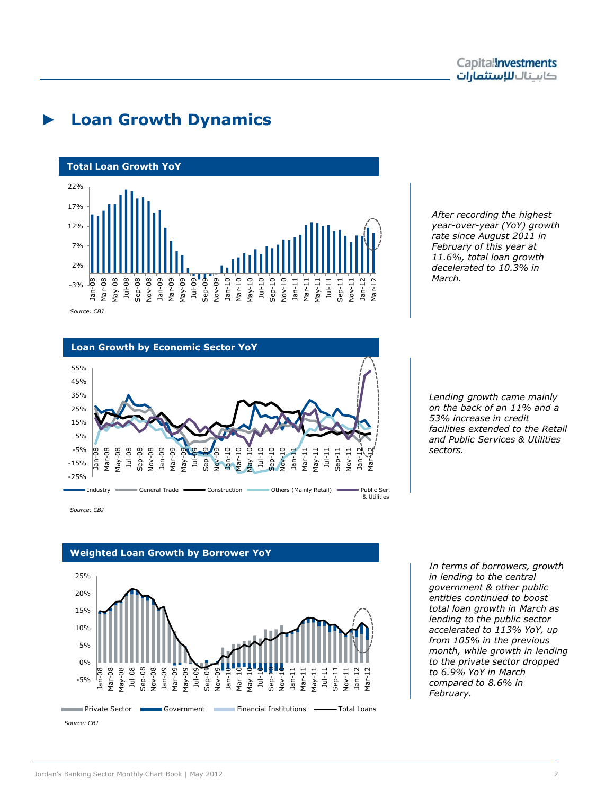

### ► **Loan Growth Dynamics**



*Source: CBJ*

#### **Loan Growth by Economic Sector YoY**



*Source: CBJ*



#### **Weighted Loan Growth by Borrower YoY**

*After recording the highest year-over-year (YoY) growth rate since August 2011 in February of this year at 11.6%, total loan growth decelerated to 10.3% in March.*

*Lending growth came mainly on the back of an 11% and a 53% increase in credit facilities extended to the Retail and Public Services & Utilities sectors.* 

*In terms of borrowers, growth in lending to the central government & other public entities continued to boost total loan growth in March as lending to the public sector accelerated to 113% YoY, up from 105% in the previous month, while growth in lending to the private sector dropped to 6.9% YoY in March compared to 8.6% in February.*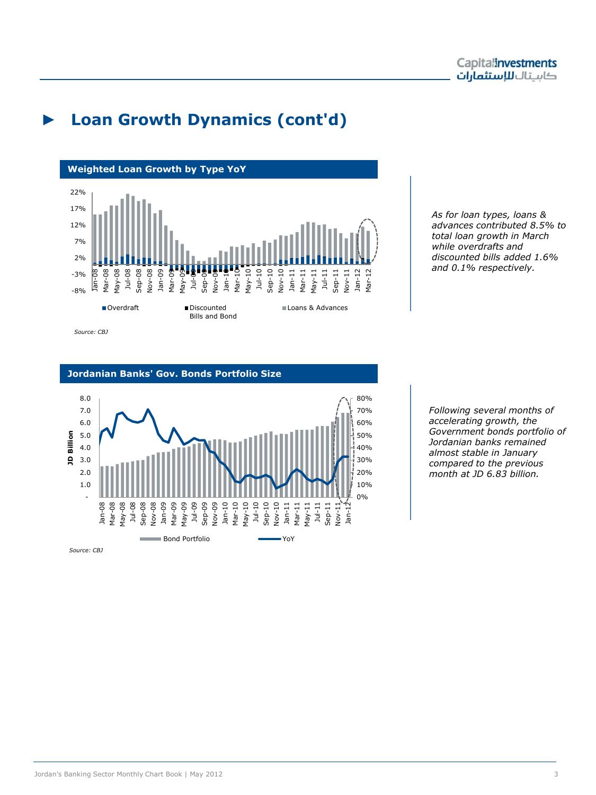# ► **Loan Growth Dynamics (cont'd)**



*As for loan types, loans & advances contributed 8.5% to total loan growth in March while overdrafts and discounted bills added 1.6% and 0.1% respectively.* 

#### **Jordanian Banks' Gov. Bonds Portfolio Size**



*Following several months of accelerating growth, the Government bonds portfolio of Jordanian banks remained almost stable in January compared to the previous month at JD 6.83 billion.*

*Source: CBJ*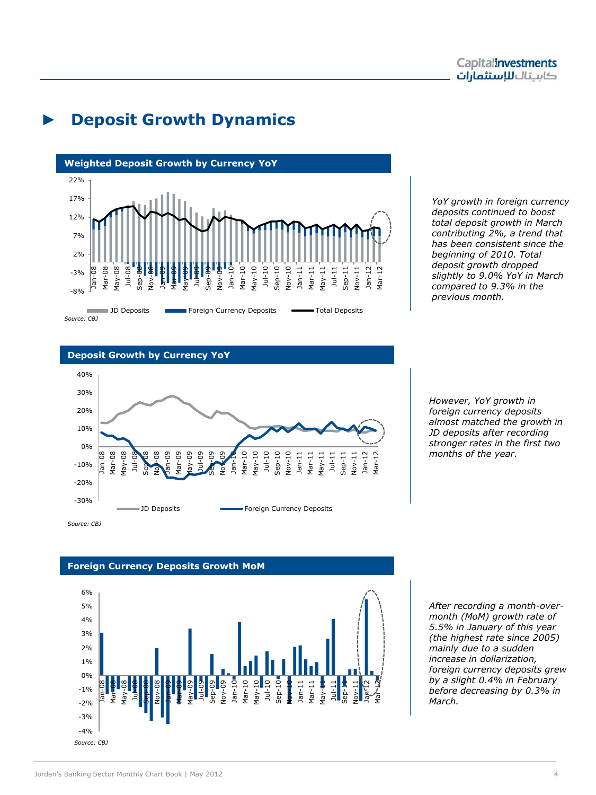### ► **Deposit Growth Dynamics**



*YoY growth in foreign currency deposits continued to boost total deposit growth in March contributing 2%, a trend that has been consistent since the beginning of 2010. Total deposit growth dropped slightly to 9.0% YoY in March compared to 9.3% in the previous month.*

#### **Deposit Growth by Currency YoY**



*However, YoY growth in foreign currency deposits almost matched the growth in JD deposits after recording stronger rates in the first two months of the year.*

#### **Foreign Currency Deposits Growth MoM**



*After recording a month-overmonth (MoM) growth rate of 5.5% in January of this year (the highest rate since 2005) mainly due to a sudden increase in dollarization, foreign currency deposits grew by a slight 0.4% in February before decreasing by 0.3% in March.*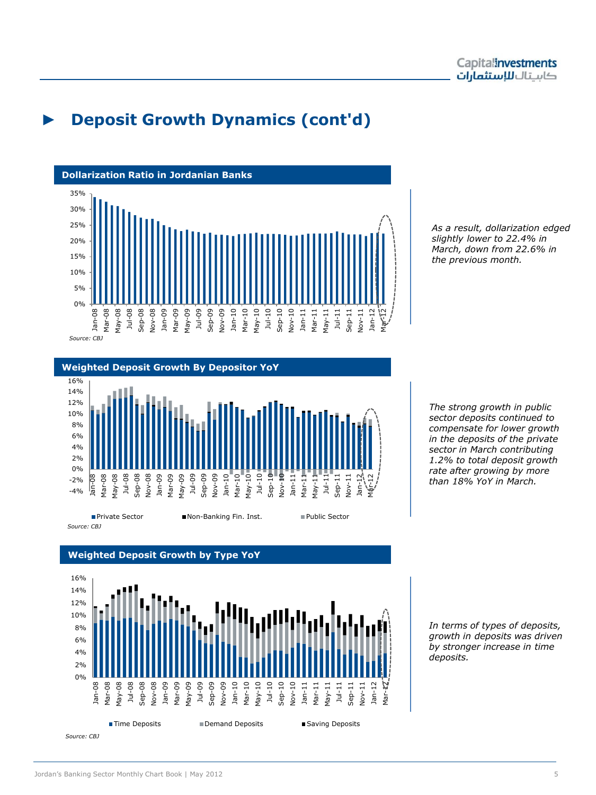# ► **Deposit Growth Dynamics (cont'd)**





*As a result, dollarization edged slightly lower to 22.4% in March, down from 22.6% in the previous month.*

*The strong growth in public sector deposits continued to compensate for lower growth in the deposits of the private sector in March contributing 1.2% to total deposit growth rate after growing by more than 18% YoY in March.* 

0% 2% 4% 6% 8% 10% 12% 14% 16% Jan-08 Mar-08 May-08 Jul-08 Sep-08 Nov-08 Jan-09 Mar-09 May-09 Jul-09 Sep-09 Nov-09 Jan-10 Mar-10 May-10 Jul-10 Sep-10 Nov-10 Jan-11 Mar-11 May-11 Jul-11 Sep-11 Nov-11 Jan-12 Yar-■Time Deposits ■Demand Deposits ■Saving Deposits *Source: CBJ*

#### **Weighted Deposit Growth by Type YoY**

*In terms of types of deposits, growth in deposits was driven by stronger increase in time deposits.*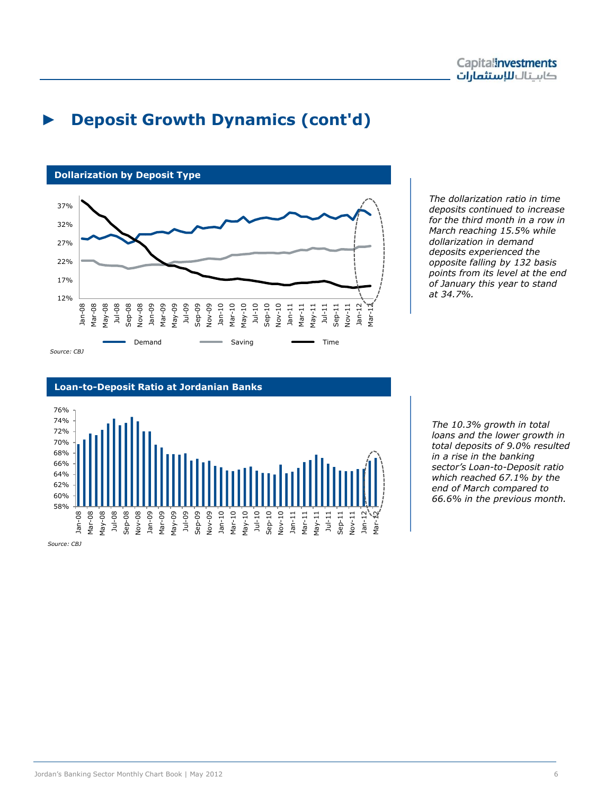# ► **Deposit Growth Dynamics (cont'd)**



*The dollarization ratio in time deposits continued to increase for the third month in a row in March reaching 15.5% while dollarization in demand deposits experienced the opposite falling by 132 basis points from its level at the end of January this year to stand at 34.7%.*

#### **Loan-to-Deposit Ratio at Jordanian Banks**



*Source: CBJ*

*The 10.3% growth in total loans and the lower growth in total deposits of 9.0% resulted in a rise in the banking sector's Loan-to-Deposit ratio which reached 67.1% by the end of March compared to 66.6% in the previous month.*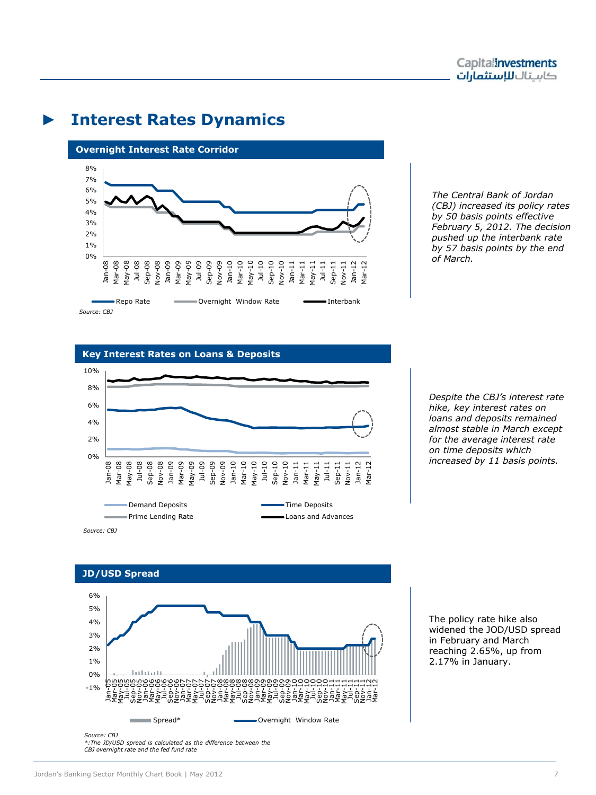### ► **Interest Rates Dynamics**



*The Central Bank of Jordan (CBJ) increased its policy rates by 50 basis points effective February 5, 2012. The decision pushed up the interbank rate by 57 basis points by the end of March.* 

#### **Key Interest Rates on Loans & Deposits**



*Despite the CBJ's interest rate hike, key interest rates on loans and deposits remained almost stable in March except for the average interest rate on time deposits which increased by 11 basis points.*

### **JD/USD Spread**



widened the JOD/USD spread in February and March reaching 2.65%, up from 2.17% in January.

The policy rate hike also

*CBJ overnight rate and the fed fund rate*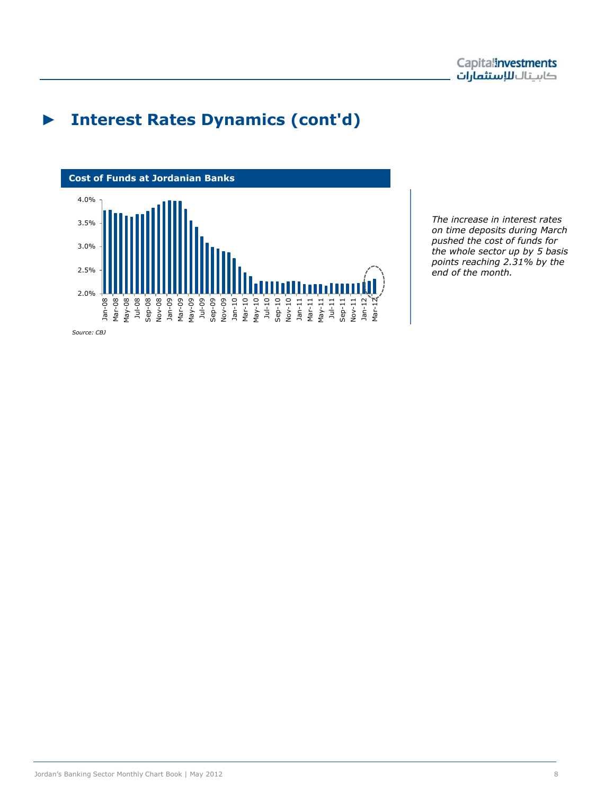## ► **Interest Rates Dynamics (cont'd)**



*The increase in interest rates on time deposits during March pushed the cost of funds for the whole sector up by 5 basis points reaching 2.31% by the end of the month.*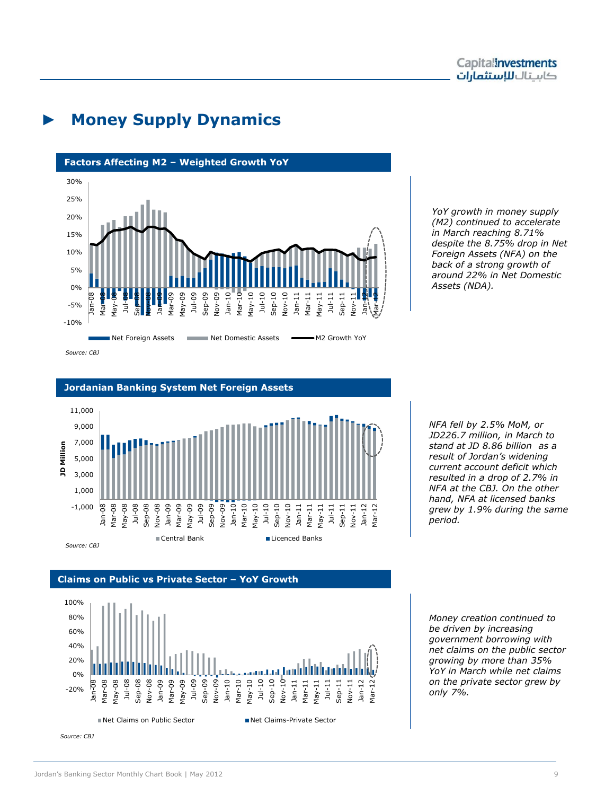# ► **Money Supply Dynamics**







Capitalinvestments كاستال للاستثمارات

### **Jordanian Banking System Net Foreign Assets**



### **Claims on Public vs Private Sector – YoY Growth**



*NFA fell by 2.5% MoM, or JD226.7 million, in March to stand at JD 8.86 billion as a result of Jordan's widening current account deficit which resulted in a drop of 2.7% in NFA at the CBJ. On the other hand, NFA at licensed banks grew by 1.9% during the same period.*

*Money creation continued to be driven by increasing government borrowing with net claims on the public sector growing by more than 35% YoY in March while net claims on the private sector grew by only 7%.*